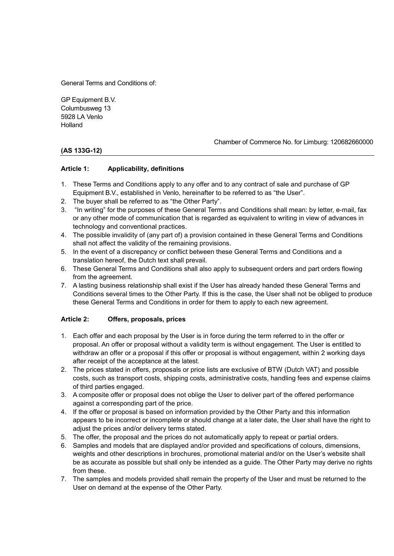General Terms and Conditions of:

GP Equipment B.V. Columbusweg 13 5928 LA Venlo Holland

### **(AS 133G-12)**

#### Chamber of Commerce No. for Limburg: 120682660000

### **Article 1: Applicability, definitions**

- 1. These Terms and Conditions apply to any offer and to any contract of sale and purchase of GP Equipment B.V., established in Venlo, hereinafter to be referred to as "the User".
- 2. The buyer shall be referred to as "the Other Party".
- 3. "In writing" for the purposes of these General Terms and Conditions shall mean: by letter, e-mail, fax or any other mode of communication that is regarded as equivalent to writing in view of advances in technology and conventional practices.
- 4. The possible invalidity of (any part of) a provision contained in these General Terms and Conditions shall not affect the validity of the remaining provisions.
- 5. In the event of a discrepancy or conflict between these General Terms and Conditions and a translation hereof, the Dutch text shall prevail.
- 6. These General Terms and Conditions shall also apply to subsequent orders and part orders flowing from the agreement.
- 7. A lasting business relationship shall exist if the User has already handed these General Terms and Conditions several times to the Other Party. If this is the case, the User shall not be obliged to produce these General Terms and Conditions in order for them to apply to each new agreement.

### **Article 2: Offers, proposals, prices**

- 1. Each offer and each proposal by the User is in force during the term referred to in the offer or proposal. An offer or proposal without a validity term is without engagement. The User is entitled to withdraw an offer or a proposal if this offer or proposal is without engagement, within 2 working days after receipt of the acceptance at the latest.
- 2. The prices stated in offers, proposals or price lists are exclusive of BTW (Dutch VAT) and possible costs, such as transport costs, shipping costs, administrative costs, handling fees and expense claims of third parties engaged.
- 3. A composite offer or proposal does not oblige the User to deliver part of the offered performance against a corresponding part of the price.
- 4. If the offer or proposal is based on information provided by the Other Party and this information appears to be incorrect or incomplete or should change at a later date, the User shall have the right to adjust the prices and/or delivery terms stated.
- 5. The offer, the proposal and the prices do not automatically apply to repeat or partial orders.
- 6. Samples and models that are displayed and/or provided and specifications of colours, dimensions, weights and other descriptions in brochures, promotional material and/or on the User's website shall be as accurate as possible but shall only be intended as a guide. The Other Party may derive no rights from these.
- 7. The samples and models provided shall remain the property of the User and must be returned to the User on demand at the expense of the Other Party.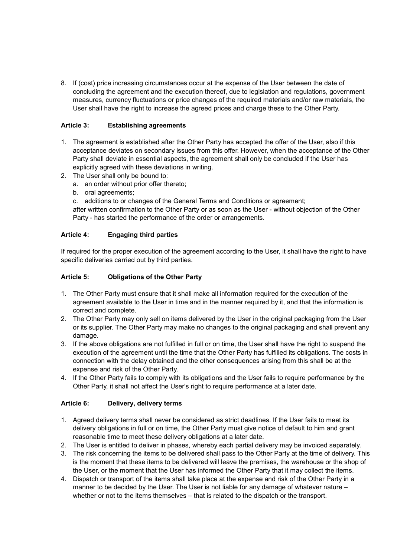8. If (cost) price increasing circumstances occur at the expense of the User between the date of concluding the agreement and the execution thereof, due to legislation and regulations, government measures, currency fluctuations or price changes of the required materials and/or raw materials, the User shall have the right to increase the agreed prices and charge these to the Other Party.

### **Article 3: Establishing agreements**

- 1. The agreement is established after the Other Party has accepted the offer of the User, also if this acceptance deviates on secondary issues from this offer. However, when the acceptance of the Other Party shall deviate in essential aspects, the agreement shall only be concluded if the User has explicitly agreed with these deviations in writing.
- 2. The User shall only be bound to:
	- a. an order without prior offer thereto;
	- b. oral agreements;
	- c. additions to or changes of the General Terms and Conditions or agreement;

after written confirmation to the Other Party or as soon as the User - without objection of the Other Party - has started the performance of the order or arrangements.

### **Article 4: Engaging third parties**

If required for the proper execution of the agreement according to the User, it shall have the right to have specific deliveries carried out by third parties.

### **Article 5: Obligations of the Other Party**

- 1. The Other Party must ensure that it shall make all information required for the execution of the agreement available to the User in time and in the manner required by it, and that the information is correct and complete.
- 2. The Other Party may only sell on items delivered by the User in the original packaging from the User or its supplier. The Other Party may make no changes to the original packaging and shall prevent any damage.
- 3. If the above obligations are not fulfilled in full or on time, the User shall have the right to suspend the execution of the agreement until the time that the Other Party has fulfilled its obligations. The costs in connection with the delay obtained and the other consequences arising from this shall be at the expense and risk of the Other Party.
- 4. If the Other Party fails to comply with its obligations and the User fails to require performance by the Other Party, it shall not affect the User's right to require performance at a later date.

### **Article 6: Delivery, delivery terms**

- 1. Agreed delivery terms shall never be considered as strict deadlines. If the User fails to meet its delivery obligations in full or on time, the Other Party must give notice of default to him and grant reasonable time to meet these delivery obligations at a later date.
- 2. The User is entitled to deliver in phases, whereby each partial delivery may be invoiced separately.
- 3. The risk concerning the items to be delivered shall pass to the Other Party at the time of delivery. This is the moment that these items to be delivered will leave the premises, the warehouse or the shop of the User, or the moment that the User has informed the Other Party that it may collect the items.
- 4. Dispatch or transport of the items shall take place at the expense and risk of the Other Party in a manner to be decided by the User. The User is not liable for any damage of whatever nature – whether or not to the items themselves – that is related to the dispatch or the transport.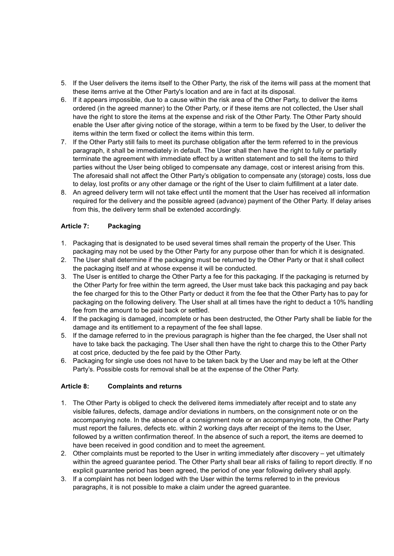- 5. If the User delivers the items itself to the Other Party, the risk of the items will pass at the moment that these items arrive at the Other Party's location and are in fact at its disposal.
- 6. If it appears impossible, due to a cause within the risk area of the Other Party, to deliver the items ordered (in the agreed manner) to the Other Party, or if these items are not collected, the User shall have the right to store the items at the expense and risk of the Other Party. The Other Party should enable the User after giving notice of the storage, within a term to be fixed by the User, to deliver the items within the term fixed or collect the items within this term.
- 7. If the Other Party still fails to meet its purchase obligation after the term referred to in the previous paragraph, it shall be immediately in default. The User shall then have the right to fully or partially terminate the agreement with immediate effect by a written statement and to sell the items to third parties without the User being obliged to compensate any damage, cost or interest arising from this. The aforesaid shall not affect the Other Party's obligation to compensate any (storage) costs, loss due to delay, lost profits or any other damage or the right of the User to claim fulfillment at a later date.
- 8. An agreed delivery term will not take effect until the moment that the User has received all information required for the delivery and the possible agreed (advance) payment of the Other Party. If delay arises from this, the delivery term shall be extended accordingly.

# **Article 7: Packaging**

- 1. Packaging that is designated to be used several times shall remain the property of the User. This packaging may not be used by the Other Party for any purpose other than for which it is designated.
- 2. The User shall determine if the packaging must be returned by the Other Party or that it shall collect the packaging itself and at whose expense it will be conducted.
- 3. The User is entitled to charge the Other Party a fee for this packaging. If the packaging is returned by the Other Party for free within the term agreed, the User must take back this packaging and pay back the fee charged for this to the Other Party or deduct it from the fee that the Other Party has to pay for packaging on the following delivery. The User shall at all times have the right to deduct a 10% handling fee from the amount to be paid back or settled.
- 4. If the packaging is damaged, incomplete or has been destructed, the Other Party shall be liable for the damage and its entitlement to a repayment of the fee shall lapse.
- 5. If the damage referred to in the previous paragraph is higher than the fee charged, the User shall not have to take back the packaging. The User shall then have the right to charge this to the Other Party at cost price, deducted by the fee paid by the Other Party.
- 6. Packaging for single use does not have to be taken back by the User and may be left at the Other Party's. Possible costs for removal shall be at the expense of the Other Party.

# **Article 8: Complaints and returns**

- 1. The Other Party is obliged to check the delivered items immediately after receipt and to state any visible failures, defects, damage and/or deviations in numbers, on the consignment note or on the accompanying note. In the absence of a consignment note or an accompanying note, the Other Party must report the failures, defects etc. within 2 working days after receipt of the items to the User, followed by a written confirmation thereof. In the absence of such a report, the items are deemed to have been received in good condition and to meet the agreement.
- 2. Other complaints must be reported to the User in writing immediately after discovery yet ultimately within the agreed guarantee period. The Other Party shall bear all risks of failing to report directly. If no explicit guarantee period has been agreed, the period of one year following delivery shall apply.
- 3. If a complaint has not been lodged with the User within the terms referred to in the previous paragraphs, it is not possible to make a claim under the agreed guarantee.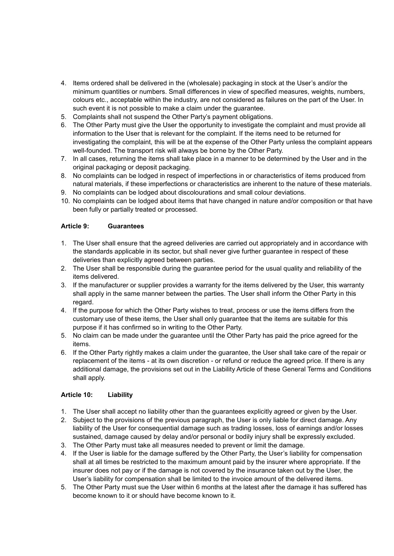- 4. Items ordered shall be delivered in the (wholesale) packaging in stock at the User's and/or the minimum quantities or numbers. Small differences in view of specified measures, weights, numbers, colours etc., acceptable within the industry, are not considered as failures on the part of the User. In such event it is not possible to make a claim under the guarantee.
- 5. Complaints shall not suspend the Other Party's payment obligations.
- 6. The Other Party must give the User the opportunity to investigate the complaint and must provide all information to the User that is relevant for the complaint. If the items need to be returned for investigating the complaint, this will be at the expense of the Other Party unless the complaint appears well-founded. The transport risk will always be borne by the Other Party.
- 7. In all cases, returning the items shall take place in a manner to be determined by the User and in the original packaging or deposit packaging.
- 8. No complaints can be lodged in respect of imperfections in or characteristics of items produced from natural materials, if these imperfections or characteristics are inherent to the nature of these materials.
- 9. No complaints can be lodged about discolourations and small colour deviations.
- 10. No complaints can be lodged about items that have changed in nature and/or composition or that have been fully or partially treated or processed.

# **Article 9: Guarantees**

- 1. The User shall ensure that the agreed deliveries are carried out appropriately and in accordance with the standards applicable in its sector, but shall never give further guarantee in respect of these deliveries than explicitly agreed between parties.
- 2. The User shall be responsible during the guarantee period for the usual quality and reliability of the items delivered.
- 3. If the manufacturer or supplier provides a warranty for the items delivered by the User, this warranty shall apply in the same manner between the parties. The User shall inform the Other Party in this regard.
- 4. If the purpose for which the Other Party wishes to treat, process or use the items differs from the customary use of these items, the User shall only guarantee that the items are suitable for this purpose if it has confirmed so in writing to the Other Party.
- 5. No claim can be made under the guarantee until the Other Party has paid the price agreed for the items.
- 6. If the Other Party rightly makes a claim under the guarantee, the User shall take care of the repair or replacement of the items - at its own discretion - or refund or reduce the agreed price. If there is any additional damage, the provisions set out in the Liability Article of these General Terms and Conditions shall apply.

# **Article 10: Liability**

- 1. The User shall accept no liability other than the guarantees explicitly agreed or given by the User.
- 2. Subject to the provisions of the previous paragraph, the User is only liable for direct damage. Any liability of the User for consequential damage such as trading losses, loss of earnings and/or losses sustained, damage caused by delay and/or personal or bodily injury shall be expressly excluded.
- 3. The Other Party must take all measures needed to prevent or limit the damage.
- 4. If the User is liable for the damage suffered by the Other Party, the User's liability for compensation shall at all times be restricted to the maximum amount paid by the insurer where appropriate. If the insurer does not pay or if the damage is not covered by the insurance taken out by the User, the User's liability for compensation shall be limited to the invoice amount of the delivered items.
- 5. The Other Party must sue the User within 6 months at the latest after the damage it has suffered has become known to it or should have become known to it.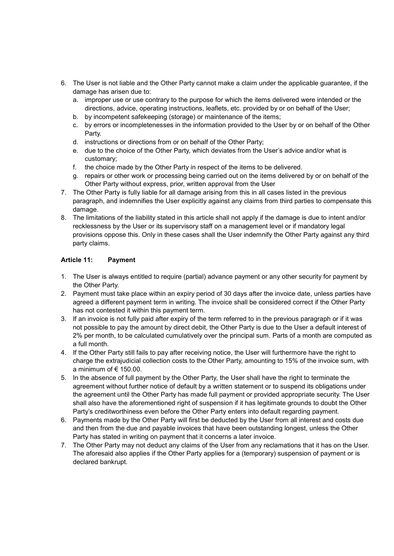- 6. The User is not liable and the Other Party cannot make a claim under the applicable guarantee, if the damage has arisen due to:
	- a. improper use or use contrary to the purpose for which the items delivered were intended or the directions, advice, operating instructions, leaflets, etc. provided by or on behalf of the User;
	- b. by incompetent safekeeping (storage) or maintenance of the items;
	- c. by errors or incompletenesses in the information provided to the User by or on behalf of the Other Party.
	- d. instructions or directions from or on behalf of the Other Party;
	- e. due to the choice of the Other Party, which deviates from the User's advice and/or what is customary;
	- f. the choice made by the Other Party in respect of the items to be delivered.
	- g. repairs or other work or processing being carried out on the items delivered by or on behalf of the Other Party without express, prior, written approval from the User
- 7. The Other Party is fully liable for all damage arising from this in all cases listed in the previous paragraph, and indemnifies the User explicitly against any claims from third parties to compensate this damage.
- 8. The limitations of the liability stated in this article shall not apply if the damage is due to intent and/or recklessness by the User or its supervisory staff on a management level or if mandatory legal provisions oppose this. Only in these cases shall the User indemnify the Other Party against any third party claims.

# **Article 11: Payment**

- 1. The User is always entitled to require (partial) advance payment or any other security for payment by the Other Party.
- 2. Payment must take place within an expiry period of 30 days after the invoice date, unless parties have agreed a different payment term in writing. The invoice shall be considered correct if the Other Party has not contested it within this payment term.
- 3. If an invoice is not fully paid after expiry of the term referred to in the previous paragraph or if it was not possible to pay the amount by direct debit, the Other Party is due to the User a default interest of 2% per month, to be calculated cumulatively over the principal sum. Parts of a month are computed as a full month.
- 4. If the Other Party still fails to pay after receiving notice, the User will furthermore have the right to charge the extrajudicial collection costs to the Other Party, amounting to 15% of the invoice sum, with a minimum of  $\epsilon$  150.00.
- 5. In the absence of full payment by the Other Party, the User shall have the right to terminate the agreement without further notice of default by a written statement or to suspend its obligations under the agreement until the Other Party has made full payment or provided appropriate security. The User shall also have the aforementioned right of suspension if it has legitimate grounds to doubt the Other Party's creditworthiness even before the Other Party enters into default regarding payment.
- 6. Payments made by the Other Party will first be deducted by the User from all interest and costs due and then from the due and payable invoices that have been outstanding longest, unless the Other Party has stated in writing on payment that it concerns a later invoice.
- 7. The Other Party may not deduct any claims of the User from any reclamations that it has on the User. The aforesaid also applies if the Other Party applies for a (temporary) suspension of payment or is declared bankrupt.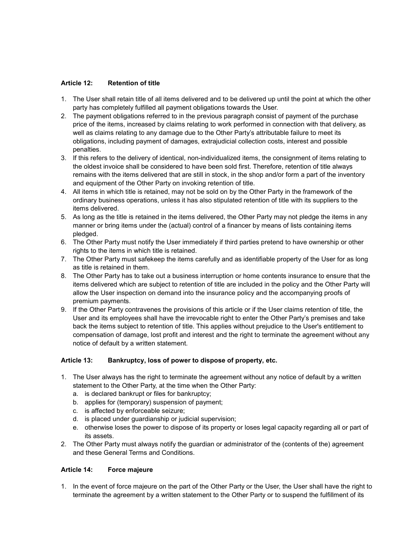### **Article 12: Retention of title**

- 1. The User shall retain title of all items delivered and to be delivered up until the point at which the other party has completely fulfilled all payment obligations towards the User.
- 2. The payment obligations referred to in the previous paragraph consist of payment of the purchase price of the items, increased by claims relating to work performed in connection with that delivery, as well as claims relating to any damage due to the Other Party's attributable failure to meet its obligations, including payment of damages, extrajudicial collection costs, interest and possible penalties.
- 3. If this refers to the delivery of identical, non-individualized items, the consignment of items relating to the oldest invoice shall be considered to have been sold first. Therefore, retention of title always remains with the items delivered that are still in stock, in the shop and/or form a part of the inventory and equipment of the Other Party on invoking retention of title.
- 4. All items in which title is retained, may not be sold on by the Other Party in the framework of the ordinary business operations, unless it has also stipulated retention of title with its suppliers to the items delivered.
- 5. As long as the title is retained in the items delivered, the Other Party may not pledge the items in any manner or bring items under the (actual) control of a financer by means of lists containing items pledged.
- 6. The Other Party must notify the User immediately if third parties pretend to have ownership or other rights to the items in which title is retained.
- 7. The Other Party must safekeep the items carefully and as identifiable property of the User for as long as title is retained in them.
- 8. The Other Party has to take out a business interruption or home contents insurance to ensure that the items delivered which are subject to retention of title are included in the policy and the Other Party will allow the User inspection on demand into the insurance policy and the accompanying proofs of premium payments.
- 9. If the Other Party contravenes the provisions of this article or if the User claims retention of title, the User and its employees shall have the irrevocable right to enter the Other Party's premises and take back the items subject to retention of title. This applies without prejudice to the User's entitlement to compensation of damage, lost profit and interest and the right to terminate the agreement without any notice of default by a written statement.

### **Article 13: Bankruptcy, loss of power to dispose of property, etc.**

- 1. The User always has the right to terminate the agreement without any notice of default by a written statement to the Other Party, at the time when the Other Party:
	- a. is declared bankrupt or files for bankruptcy;
	- b. applies for (temporary) suspension of payment;
	- c. is affected by enforceable seizure;
	- d. is placed under guardianship or judicial supervision;
	- e. otherwise loses the power to dispose of its property or loses legal capacity regarding all or part of its assets.
- 2. The Other Party must always notify the guardian or administrator of the (contents of the) agreement and these General Terms and Conditions.

### **Article 14: Force majeure**

1. In the event of force majeure on the part of the Other Party or the User, the User shall have the right to terminate the agreement by a written statement to the Other Party or to suspend the fulfillment of its